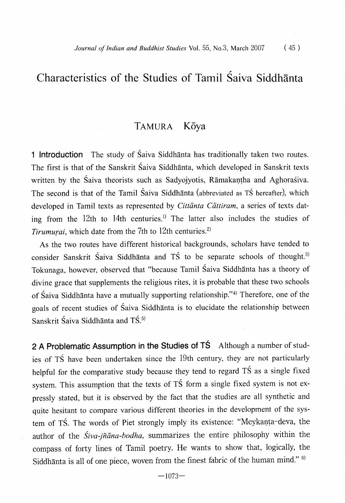## Characteristics of the Studies of Tamil Saiva Siddhanta

## TAMURA Kōya

1 Introduction The study of Śaiva Siddhanta has traditionally taken two routes. The first is that of the Sanskrit Saiva Siddhanta, which developed in Sanskrit texts written by the Saiva theorists such as Sadyojyotis, Ramakantha and Aghorasiva. The second is that of the Tamil Saiva Siddhanta (abbreviated as TS hereafter), which developed in Tamil texts as represented by Cittanta Cattiram, a series of texts dating from the 12th to 14th centuries.<sup>1)</sup> The latter also includes the studies of Tirumurai, which date from the 7th to 12th centuries.<sup>2)</sup>

As the two routes have different historical backgrounds, scholars have tended to consider Sanskrit Śaiva Siddhanta and TS to be separate schools of thought.<sup>3)</sup> Tokunaga, however, observed that "because Tamil Saiva Siddhanta has a theory of divine grace that supplements the religious rites, it is probable that these two schools of Saiva Siddhanta have a mutually supporting relationship."4) Therefore, one of the goals of recent studies of Saiva Siddhanta is to elucidate the relationship between Sanskrit Śaiva Siddhānta and  $T\acute{S}$ .<sup>5)</sup>

2 A Problematic Assumption in the Studies of TS Although a number of studies of TS have been undertaken since the 19th century, they are not particularly helpful for the comparative study because they tend to regard TS as a single fixed system. This assumption that the texts of TS form a single fixed system is not expressly stated, but it is observed by the fact that the studies are all synthetic and quite hesitant to compare various different theories in the development of the system of TS. The words of Piet strongly imply its existence: "Meykanta-deva, the author of the  $Siva$ -jñana-bodha, summarizes the entire philosophy within the compass of forty lines of Tamil poetry. He wants to show that, logically, the Siddhānta is all of one piece, woven from the finest fabric of the human mind." 6)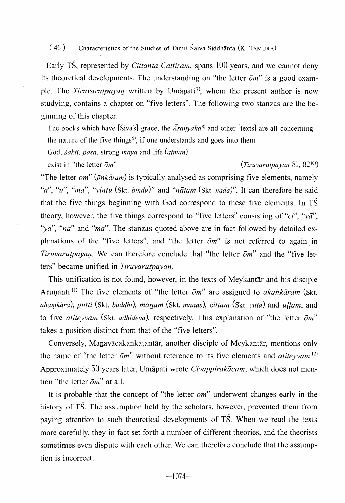## $(46)$  Characteristics of the Studies of Tamil Saiva Siddhanta (K. TAMURA)

Early TS, represented by *Cittānta Cāttiram*, spans 100 years, and we cannot deny its theoretical developments. The understanding on "the letter  $\bar{\sigma}m$ " is a good example. The Tiruvarutpayan written by Umapati<sup>7</sup>, whom the present author is now studying, contains a chapter on "five letters". The following two stanzas are the beginning of this chapter:

The books which have [Siva's] grace, the  $\overline{Aranyaka}^8$  and other [texts] are all concerning the nature of the five things<sup>9)</sup>, if one understands and goes into them.

God, *šakti*,  $p\bar{a}$ *ša*, strong  $m\bar{a}$ *y* $\bar{a}$  and life ( $\bar{a}$ *tman*)

## exist in "the letter  $\bar{0}m$ ". (Tiruvarutpayan 81, 82<sup>10)</sup>)

"The letter  $\bar{o}m$ " ( $\bar{o}nk\bar{a}ram$ ) is typically analysed as comprising five elements, namely "a", "u", "ma", "vintu (Skt. bindu)" and "nātam (Skt. nāda)". It can therefore be said that the five things beginning with God correspond to these five elements. In TS theory, however, the five things correspond to "five letters" consisting of "ci", " $v\bar{a}$ ", "ya", "na" and "ma". The stanzas quoted above are in fact followed by detailed explanations of the "five letters", and "the letter  $\bar{a}m$ " is not referred to again in Tiruvarutpayan. We can therefore conclude that "the letter  $\bar{c}m$ " and the "five letters" became unified in Tiruvarutpayan.

This unification is not found, however, in the texts of Meykantar and his disciple Arunanti.<sup>11)</sup> The five elements of "the letter  $\bar{0}m$ " are assigned to *akankaram* (Skt. ahamkāra), putti (Skt. buddhi), manam (Skt. manas), cittam (Skt. citta) and ullam, and to five *atiteyvam* (Skt. *adhideva*), respectively. This explanation of "the letter  $\bar{\sigma}m$ " takes a position distinct from that of the "five letters".

Conversely, Manavācakankatantār, another disciple of Meykantār, mentions only the name of "the letter  $\bar{0}m$ " without reference to its five elements and *atiteyvam*.<sup>12)</sup> Approximately 50 years later, Umapati wrote *Civappirakacam*, which does not mention "the letter  $\bar{a}m$ " at all.

It is probable that the concept of "the letter  $\bar{0}m$ " underwent changes early in the history of TS. The assumption held by the scholars, however, prevented them from paying attention to such theoretical developments of TS. When we read the texts more carefully, they in fact set forth a number of different theories, and the theorists sometimes even dispute with each other. We can therefore conclude that the assumption is incorrect.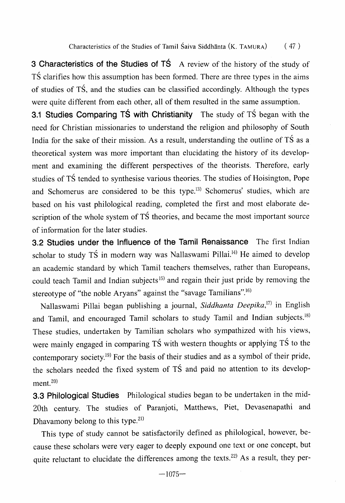3 Characteristics of the Studies of TŚ A review of the history of the study of TS clarifies how this assumption has been formed. There are three types in the aims of studies of TS, and the studies can be classified accordingly. Although the types were quite different from each other, all of them resulted in the same assumption.

3.1 Studies Comparing TŚ with Christianity The study of TŚ began with the need for Christian missionaries to understand the religion and philosophy of South India for the sake of their mission. As a result, understanding the outline of TS as a theoretical system was more important than elucidating the history of its development and examining the different perspectives of the theorists. Therefore, early studies of TS tended to synthesise various theories. The studies of Hoisington, Pope and Schomerus are considered to be this type.<sup>13)</sup> Schomerus' studies, which are based on his vast philological reading, completed the first and most elaborate description of the whole system of  $T\acute{S}$  theories, and became the most important source of information for the later studies.

3.2 Studies under the Influence of the Tamil Renaissance The first Indian scholar to study TS in modern way was Nallaswami Pillai.<sup>14)</sup> He aimed to develop an academic standard by which Tamil teachers themselves, rather than Europeans, could teach Tamil and Indian subjects<sup>15)</sup> and regain their just pride by removing the stereotype of "the noble Aryans" against the "savage Tamilians".<sup>16)</sup>

Nallaswami Pillai began publishing a journal, Siddhanta Deepika,<sup>17)</sup> in English and Tamil, and encouraged Tamil scholars to study Tamil and Indian subjects.<sup>18)</sup> These studies, undertaken by Tamilian scholars who sympathized with his views, were mainly engaged in comparing TS with western thoughts or applying TS to the contemporary society.19) For the basis of their studies and as a symbol of their pride, the scholars needed the fixed system of TS and paid no attention to its development.20)

3.3 Philological Studies Philological studies began to be undertaken in the mid-20th century. The studies of Paranjoti, Matthews, Piet, Devasenapathi and Dhavamony belong to this type.<sup>21)</sup>

This type of study cannot be satisfactorily defined as philological, however, because these scholars were very eager to deeply expound one text or one concept, but quite reluctant to elucidate the differences among the texts.<sup>22)</sup> As a result, they per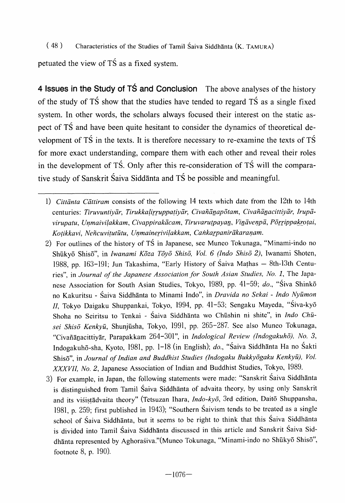(48) Characteristics of the Studies of Tamil Saiva Siddhanta (K. TAMURA)

petuated the view of TS as a fixed system.

4 Issues in the Study of TS and Conclusion The above analyses of the history of the study of  $T\acute{S}$  show that the studies have tended to regard  $T\acute{S}$  as a single fixed system. In other words, the scholars always focused their interest on the static aspect of TS and have been quite hesitant to consider the dynamics of theoretical development of TS in the texts. It is therefore necessary to re-examine the texts of TS for more exact understanding, compare them with each other and reveal their roles in the development of TS. Only after this re-consideration of TS will the comparative study of Sanskrit Śaiva Siddānta and TŚ be possible and meaningful.

- 1) Cittanta Cattiram consists of the following 14 texts which date from the 12th to 14th centuries: Tiruvuntiyār, Tirukkaļirruppatiyār, Civañānapotam, Civañānacittiyār, Irupāvirupatu, Unmaivilakkam, Civappirakācam, Tiruvarutpayan, Vināvenpā, Pōrrippakrotai, Kotikkavi, Neñcuvitutūtu, Unmainerivilakkam, Cankarpanirākaranam.
- 2) For outlines of the history of TS in Japanese, see Muneo Tokunaga, "Minami-indo no Shūkyō Shisō", in Iwanami Kōza Tōyō Shisō, Vol. 6 (Indo Shisō 2), Iwanami Shoten, 1988, pp. 163-191; Jun Takashima, "Early History of Śaiva Mathas - 8th-13th Centuries", in Journal of the Japanese Association for South Asian Studies, No. 1, The Japanese Association for South Asian Studies, Tokyo, 1989, pp. 41-59; do., "Śiva Shinkō no Kakuritsu - Śaiva Siddhānta to Minami Indo", in Dravida no Sekai - Indo Nyūmon II, Tokyo Daigaku Shuppankai, Tokyo, 1994, pp. 41-53; Sengaku Mayeda, "Siva-kyo Shoha no Seiritsu to Tenkai - Śaiva Siddhanta wo Chūshin ni shite", in Indo Chūsei Shisō Kenkyū, Shunjūsha, Tokyo, 1991, pp. 265-287. See also Muneo Tokunaga, "Civañānacittiyār, Parapakkam 264-301", in Indological Review (Indogakuhō), No. 3, Indogakuhō-sha, Kyoto, 1981, pp. 1-18 (in English); do., "Śaiva Siddhānta Ha no Śakti Shisō", in Journal of Indian and Buddhist Studies (Indogaku Bukkyōgaku Kenkyū), Vol. XXXVII, No. 2, Japanese Association of Indian and Buddhist Studies, Tokyo, 1989.
- 3) For example, in Japan, the following statements were made: "Sanskrit Śaiva Siddhānta is distinguished from Tamil Saiva Siddhanta of advaita theory, by using only Sanskrit and its visistadvaita theory" (Tetsuzan Ihara, Indo-kyō, 3rd edition, Daitō Shuppansha, 1981, p. 259; first published in 1943); "Southern Saivism tends to be treated as a single school of Saiva Siddhanta, but it seems to be right to think that this Saiva Siddhanta is divided into Tamil Saiva Siddhanta discussed in this article and Sanskrit Saiva Siddhānta represented by Aghoraśiva."(Muneo Tokunaga, "Minami-indo no Shūkyō Shisō", footnote 8, p. 190).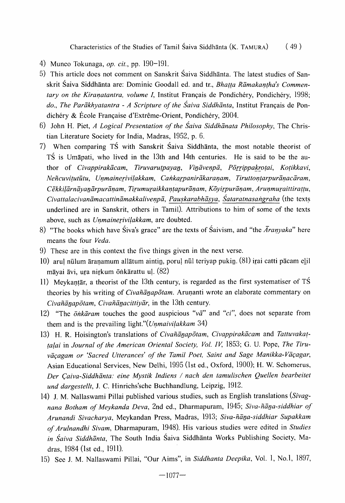- 4) Muneo Tokunaga, op. cit., pp. 190-191.
- 5) This article does not comment on Sanskrit Saiva Siddhanta. The latest studies of Sanskrit Śaiva Siddhānta are: Dominic Goodall ed. and tr., Bhatta Rāmakantha's Commentary on the Kiranatantra, volume I, Institut Français de Pondichéry, Pondichéry, 1998; do., The Parakhyatantra - A Scripture of the Śaiva Siddhanta, Institut Francais de Pondichéry & École Française d'Extrême-Orient, Pondichéry, 2004.
- 6) John H. Piet, A Logical Presentation of the Śaiva Siddhānata Philosophy, The Christian Literature Society for India, Madras, 1952, p. 6.
- 7) When comparing TS with Sanskrit Saiva Siddhanta, the most notable theorist of TS is Umapati, who lived in the 13th and 14th centuries. He is said to be the author of Civappirakācam, Tiruvarutpayan, Viņāvenpā, Pōrrippakrotai, Kotikkavi, Neñcuvitutūtu, Unmainerivilakkam, Cankarpanirākaranam, Tiruttontarpurānacāram, Cekkilarnayanarpuranam, Tirumuraikkantapuranam, Koyirpuranam, Arunmuraittirattu, Civattalacivanāmacattināmakkalivenpā, Pauskarabhāsya, Śataratnasangraha (the texts underlined are in Sanskrit, others in Tamil). Attributions to him of some of the texts above, such as Unmainerivilakkam, are doubted.
- 8) "The books which have Siva's grace" are the texts of Saivism, and "the  $\overline{Aranyaka}$ " here means the four Veda.
- 9) These are in this context the five things given in the next verse.
- 10) arul nūlum āraņamum allātum aintin, porul nūl teriyap pukin. (81) irai catti pācam elil māyai āvi, ura nirkum önkārattu ul. (82)
- 11) Meykantār, a theorist of the 13th century, is regarded as the first systematiser of  $T\acute{\text{S}}$ theories by his writing of Civañanapotam. Arunanti wrote an elaborate commentary on  $Civa\tilde{n}a\tilde{n}a\tilde{o}tam$ ,  $Civa\tilde{n}\tilde{a}nacittiy\tilde{a}r$ , in the 13th century.
- 12) "The  $\bar{o}$ *itharam* touches the good auspicious " $v\bar{a}$ " and "*ci*", does not separate from them and is the prevailing light." (Unmaivilakkam 34)
- 13) H. R. Hoisington's translations of Civañanapotam, Civappirakacam and Tattuvakattalai in Journal of the American Oriental Society, Vol. IV, 1853; G. U. Pope, The Tiruvacagam or 'Sacred Utterances' of the Tamil Poet, Saint and Sage Manikka-Vacagar, Asian Educational Services, New Delhi, 1995 (lst ed., Oxford, 1900); H.W. Schomerus, Der Çaiva-Siddhānta: eine Mystik Indiens / nach den tamulischen Quellen bearbeitet und dargestellt, J. C. Hinrichs'sche Buchhandlung, Leipzig, 1912.
- 14) J. M. Nallaswami Pillai published various studies, such as English translations (Sivagnana Botham of Meykanda Deva, 2nd ed., Dharmapuram, 1945; Siva-ñāna-siddhiar of Arunandi Sivacharya, Meykandan Press, Madras, 1913; Siva-ñāna-siddhiar Supakkam of Arulnandhi Sivam, Dharmapuram, 1948). His various studies were edited in Studies in Saiva Siddhanta, The South India Saiva Siddhanta Works Publishing Society, Madras, 1984 (lst ed., 1911).
- 15) See J. M. Nallaswami Pillai, "Our Aims", in Siddhanta Deepika, Vol. 1, No.1, 1897,